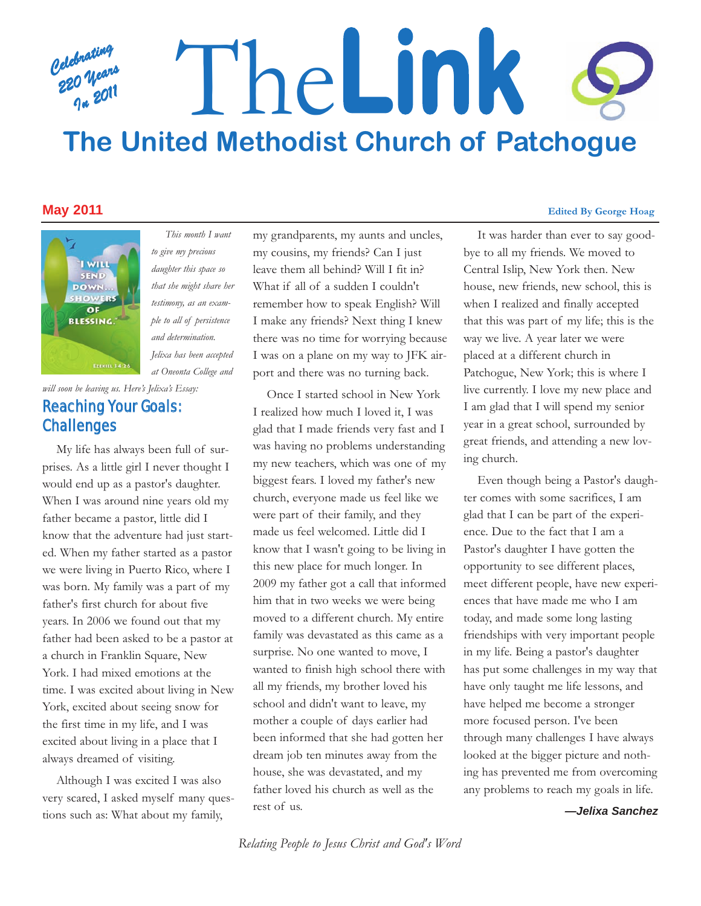# *Celebrating 220 Years In 2011* The**Link The United Methodist Church of Patchogue**



*to give my precious daughter this space so that she might share her testimony, as an example to all of persistence and determination. Jelixa has been accepted at Oneonta College and*

*This month I want*

## *will soon be leaving us. Here's Jelixa's Essay:* Reaching Your Goals: Challenges

My life has always been full of surprises. As a little girl I never thought I would end up as a pastor's daughter. When I was around nine years old my father became a pastor, little did I know that the adventure had just started. When my father started as a pastor we were living in Puerto Rico, where I was born. My family was a part of my father's first church for about five years. In 2006 we found out that my father had been asked to be a pastor at a church in Franklin Square, New York. I had mixed emotions at the time. I was excited about living in New York, excited about seeing snow for the first time in my life, and I was excited about living in a place that I always dreamed of visiting.

Although I was excited I was also very scared, I asked myself many questions such as: What about my family,

my grandparents, my aunts and uncles, my cousins, my friends? Can I just leave them all behind? Will I fit in? What if all of a sudden I couldn't remember how to speak English? Will I make any friends? Next thing I knew there was no time for worrying because I was on a plane on my way to JFK airport and there was no turning back.

Once I started school in New York I realized how much I loved it, I was glad that I made friends very fast and I was having no problems understanding my new teachers, which was one of my biggest fears. I loved my father's new church, everyone made us feel like we were part of their family, and they made us feel welcomed. Little did I know that I wasn't going to be living in this new place for much longer. In 2009 my father got a call that informed him that in two weeks we were being moved to a different church. My entire family was devastated as this came as a surprise. No one wanted to move, I wanted to finish high school there with all my friends, my brother loved his school and didn't want to leave, my mother a couple of days earlier had been informed that she had gotten her dream job ten minutes away from the house, she was devastated, and my father loved his church as well as the rest of us.

#### **May 2011 Edited By George Hoag**

It was harder than ever to say goodbye to all my friends. We moved to Central Islip, New York then. New house, new friends, new school, this is when I realized and finally accepted that this was part of my life; this is the way we live. A year later we were placed at a different church in Patchogue, New York; this is where I live currently. I love my new place and I am glad that I will spend my senior year in a great school, surrounded by great friends, and attending a new loving church.

Even though being a Pastor's daughter comes with some sacrifices, I am glad that I can be part of the experience. Due to the fact that I am a Pastor's daughter I have gotten the opportunity to see different places, meet different people, have new experiences that have made me who I am today, and made some long lasting friendships with very important people in my life. Being a pastor's daughter has put some challenges in my way that have only taught me life lessons, and have helped me become a stronger more focused person. I've been through many challenges I have always looked at the bigger picture and nothing has prevented me from overcoming any problems to reach my goals in life.

#### *—Jelixa Sanchez*

*Relating People to Jesus Christ and God's Word*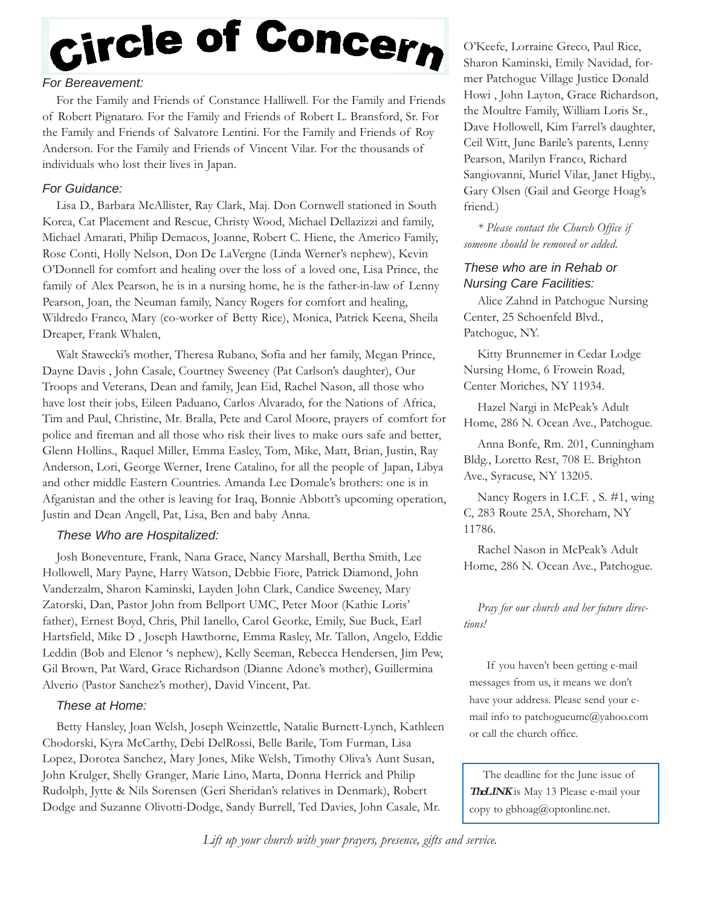# Circle of Concern

#### *For Bereavement:*

For the Family and Friends of Constance Halliwell. For the Family and Friends of Robert Pignataro. For the Family and Friends of Robert L. Bransford, Sr. For the Family and Friends of Salvatore Lentini. For the Family and Friends of Roy Anderson. For the Family and Friends of Vincent Vilar. For the thousands of individuals who lost their lives in Japan.

#### *For Guidance:*

Lisa D., Barbara McAllister, Ray Clark, Maj. Don Cornwell stationed in South Korea, Cat Placement and Rescue, Christy Wood, Michael Dellazizzi and family, Michael Amarati, Philip Demacos, Joanne, Robert C. Hiene, the Americo Family, Rose Conti, Holly Nelson, Don De LaVergne (Linda Werner's nephew), Kevin O'Donnell for comfort and healing over the loss of a loved one, Lisa Prince, the family of Alex Pearson, he is in a nursing home, he is the father-in-law of Lenny Pearson, Joan, the Neuman family, Nancy Rogers for comfort and healing, Wildredo Franco, Mary (co-worker of Betty Rice), Monica, Patrick Keena, Sheila Dreaper, Frank Whalen,

Walt Stawecki's mother, Theresa Rubano, Sofia and her family, Megan Prince, Dayne Davis , John Casale, Courtney Sweeney (Pat Carlson's daughter), Our Troops and Veterans, Dean and family, Jean Eid, Rachel Nason, all those who have lost their jobs, Eileen Paduano, Carlos Alvarado, for the Nations of Africa, Tim and Paul, Christine, Mr. Bralla, Pete and Carol Moore, prayers of comfort for police and fireman and all those who risk their lives to make ours safe and better, Glenn Hollins., Raquel Miller, Emma Easley, Tom, Mike, Matt, Brian, Justin, Ray Anderson, Lori, George Werner, Irene Catalino, for all the people of Japan, Libya and other middle Eastern Countries. Amanda Lee Domale's brothers: one is in Afganistan and the other is leaving for Iraq, Bonnie Abbott's upcoming operation, Justin and Dean Angell, Pat, Lisa, Ben and baby Anna.

#### *These Who are Hospitalized:*

Josh Boneventure, Frank, Nana Grace, Nancy Marshall, Bertha Smith, Lee Hollowell, Mary Payne, Harry Watson, Debbie Fiore, Patrick Diamond, John Vanderzalm, Sharon Kaminski, Layden John Clark, Candice Sweeney, Mary Zatorski, Dan, Pastor John from Bellport UMC, Peter Moor (Kathie Loris' father), Ernest Boyd, Chris, Phil Ianello, Carol Georke, Emily, Sue Buck, Earl Hartsfield, Mike D , Joseph Hawthorne, Emma Rasley, Mr. Tallon, Angelo, Eddie Leddin (Bob and Elenor 's nephew), Kelly Seeman, Rebecca Hendersen, Jim Pew, Gil Brown, Pat Ward, Grace Richardson (Dianne Adone's mother), Guillermina Alverio (Pastor Sanchez's mother), David Vincent, Pat.

#### *These at Home:*

Betty Hansley, Joan Welsh, Joseph Weinzettle, Natalie Burnett-Lynch, Kathleen Chodorski, Kyra McCarthy, Debi DelRossi, Belle Barile, Tom Furman, Lisa Lopez, Dorotea Sanchez, Mary Jones, Mike Welsh, Timothy Oliva's Aunt Susan, John Krulger, Shelly Granger, Marie Lino, Marta, Donna Herrick and Philip Rudolph, Jytte & Nils Sorensen (Geri Sheridan's relatives in Denmark), Robert Dodge and Suzanne Olivotti-Dodge, Sandy Burrell, Ted Davies, John Casale, Mr.

O'Keefe, Lorraine Greco, Paul Rice, Sharon Kaminski, Emily Navidad, former Patchogue Village Justice Donald Howi , John Layton, Grace Richardson, the Moultre Family, William Loris Sr., Dave Hollowell, Kim Farrel's daughter, Ceil Witt, June Barile's parents, Lenny Pearson, Marilyn Franco, Richard Sangiovanni, Muriel Vilar, Janet Higby., Gary Olsen (Gail and George Hoag's friend.)

*\* Please contact the Church Office if someone should be removed or added.*

#### *These who are in Rehab or Nursing Care Facilities:*

Alice Zahnd in Patchogue Nursing Center, 25 Schoenfeld Blvd., Patchogue, NY.

Kitty Brunnemer in Cedar Lodge Nursing Home, 6 Frowein Road, Center Moriches, NY 11934.

Hazel Nargi in McPeak's Adult Home, 286 N. Ocean Ave., Patchogue.

Anna Bonfe, Rm. 201, Cunningham Bldg., Loretto Rest, 708 E. Brighton Ave., Syracuse, NY 13205.

Nancy Rogers in I.C.F. , S. #1, wing C, 283 Route 25A, Shoreham, NY 11786.

Rachel Nason in McPeak's Adult Home, 286 N. Ocean Ave., Patchogue.

*Pray for our church and her future directions!*

If you haven't been getting e-mail messages from us, it means we don't have your address. Please send your email info to patchogueumc@yahoo.com or call the church office.

The deadline for the June issue of **TheLINK** is May 13 Please e-mail your copy to gbhoag@optonline.net.

*Lift up your church with your prayers, presence, gifts and service.*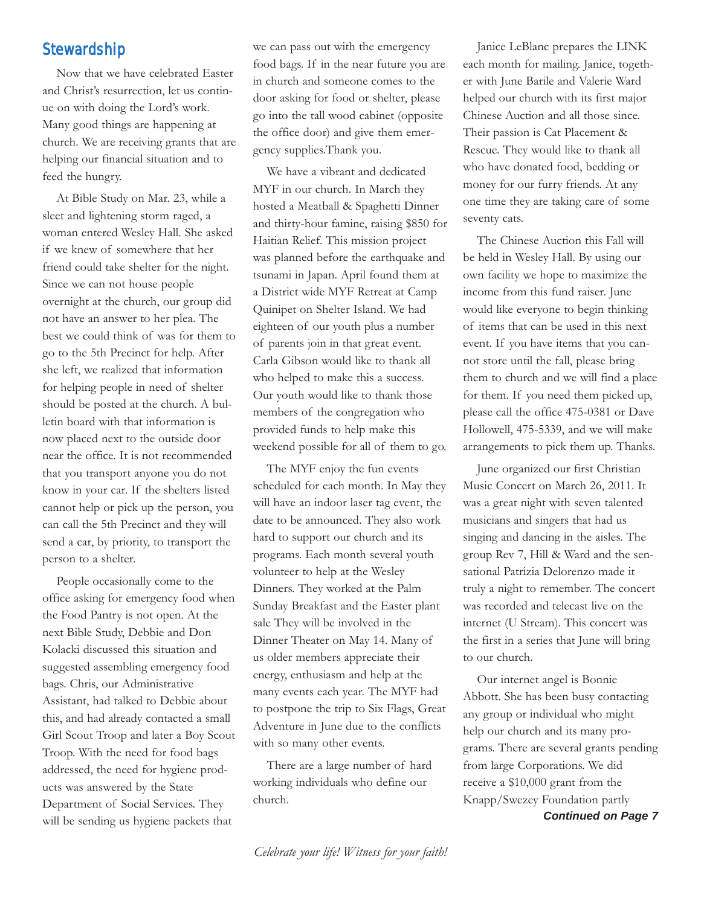# **Stewardship**

Now that we have celebrated Easter and Christ's resurrection, let us continue on with doing the Lord's work. Many good things are happening at church. We are receiving grants that are helping our financial situation and to feed the hungry.

At Bible Study on Mar. 23, while a sleet and lightening storm raged, a woman entered Wesley Hall. She asked if we knew of somewhere that her friend could take shelter for the night. Since we can not house people overnight at the church, our group did not have an answer to her plea. The best we could think of was for them to go to the 5th Precinct for help. After she left, we realized that information for helping people in need of shelter should be posted at the church. A bulletin board with that information is now placed next to the outside door near the office. It is not recommended that you transport anyone you do not know in your car. If the shelters listed cannot help or pick up the person, you can call the 5th Precinct and they will send a car, by priority, to transport the person to a shelter.

People occasionally come to the office asking for emergency food when the Food Pantry is not open. At the next Bible Study, Debbie and Don Kolacki discussed this situation and suggested assembling emergency food bags. Chris, our Administrative Assistant, had talked to Debbie about this, and had already contacted a small Girl Scout Troop and later a Boy Scout Troop. With the need for food bags addressed, the need for hygiene products was answered by the State Department of Social Services. They will be sending us hygiene packets that

we can pass out with the emergency food bags. If in the near future you are in church and someone comes to the door asking for food or shelter, please go into the tall wood cabinet (opposite the office door) and give them emergency supplies.Thank you.

We have a vibrant and dedicated MYF in our church. In March they hosted a Meatball & Spaghetti Dinner and thirty-hour famine, raising \$850 for Haitian Relief. This mission project was planned before the earthquake and tsunami in Japan. April found them at a District wide MYF Retreat at Camp Quinipet on Shelter Island. We had eighteen of our youth plus a number of parents join in that great event. Carla Gibson would like to thank all who helped to make this a success. Our youth would like to thank those members of the congregation who provided funds to help make this weekend possible for all of them to go.

The MYF enjoy the fun events scheduled for each month. In May they will have an indoor laser tag event, the date to be announced. They also work hard to support our church and its programs. Each month several youth volunteer to help at the Wesley Dinners. They worked at the Palm Sunday Breakfast and the Easter plant sale They will be involved in the Dinner Theater on May 14. Many of us older members appreciate their energy, enthusiasm and help at the many events each year. The MYF had to postpone the trip to Six Flags, Great Adventure in June due to the conflicts with so many other events.

There are a large number of hard working individuals who define our church.

Janice LeBlanc prepares the LINK each month for mailing. Janice, together with June Barile and Valerie Ward helped our church with its first major Chinese Auction and all those since. Their passion is Cat Placement & Rescue. They would like to thank all who have donated food, bedding or money for our furry friends. At any one time they are taking care of some seventy cats.

The Chinese Auction this Fall will be held in Wesley Hall. By using our own facility we hope to maximize the income from this fund raiser. June would like everyone to begin thinking of items that can be used in this next event. If you have items that you cannot store until the fall, please bring them to church and we will find a place for them. If you need them picked up, please call the office 475-0381 or Dave Hollowell, 475-5339, and we will make arrangements to pick them up. Thanks.

June organized our first Christian Music Concert on March 26, 2011. It was a great night with seven talented musicians and singers that had us singing and dancing in the aisles. The group Rev 7, Hill & Ward and the sensational Patrizia Delorenzo made it truly a night to remember. The concert was recorded and telecast live on the internet (U Stream). This concert was the first in a series that June will bring to our church.

Our internet angel is Bonnie Abbott. She has been busy contacting any group or individual who might help our church and its many programs. There are several grants pending from large Corporations. We did receive a \$10,000 grant from the Knapp/Swezey Foundation partly

*Continued on Page 7*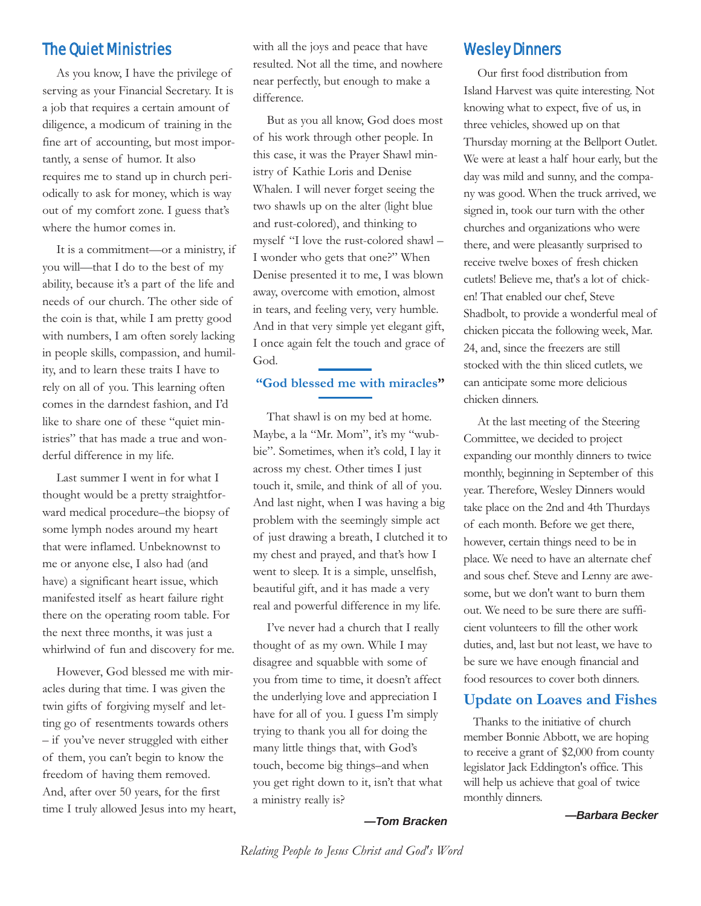## The Quiet Ministries

As you know, I have the privilege of serving as your Financial Secretary. It is a job that requires a certain amount of diligence, a modicum of training in the fine art of accounting, but most importantly, a sense of humor. It also requires me to stand up in church periodically to ask for money, which is way out of my comfort zone. I guess that's where the humor comes in.

It is a commitment—or a ministry, if you will—that I do to the best of my ability, because it's a part of the life and needs of our church. The other side of the coin is that, while I am pretty good with numbers, I am often sorely lacking in people skills, compassion, and humility, and to learn these traits I have to rely on all of you. This learning often comes in the darndest fashion, and I'd like to share one of these "quiet ministries" that has made a true and wonderful difference in my life.

Last summer I went in for what I thought would be a pretty straightforward medical procedure–the biopsy of some lymph nodes around my heart that were inflamed. Unbeknownst to me or anyone else, I also had (and have) a significant heart issue, which manifested itself as heart failure right there on the operating room table. For the next three months, it was just a whirlwind of fun and discovery for me.

However, God blessed me with miracles during that time. I was given the twin gifts of forgiving myself and letting go of resentments towards others – if you've never struggled with either of them, you can't begin to know the freedom of having them removed. And, after over 50 years, for the first time I truly allowed Jesus into my heart, with all the joys and peace that have resulted. Not all the time, and nowhere near perfectly, but enough to make a difference.

But as you all know, God does most of his work through other people. In this case, it was the Prayer Shawl ministry of Kathie Loris and Denise Whalen. I will never forget seeing the two shawls up on the alter (light blue and rust-colored), and thinking to myself "I love the rust-colored shawl – I wonder who gets that one?" When Denise presented it to me, I was blown away, overcome with emotion, almost in tears, and feeling very, very humble. And in that very simple yet elegant gift, I once again felt the touch and grace of God.

#### **"God blessed me with miracles"**

That shawl is on my bed at home. Maybe, a la "Mr. Mom", it's my "wubbie". Sometimes, when it's cold, I lay it across my chest. Other times I just touch it, smile, and think of all of you. And last night, when I was having a big problem with the seemingly simple act of just drawing a breath, I clutched it to my chest and prayed, and that's how I went to sleep. It is a simple, unselfish, beautiful gift, and it has made a very real and powerful difference in my life.

I've never had a church that I really thought of as my own. While I may disagree and squabble with some of you from time to time, it doesn't affect the underlying love and appreciation I have for all of you. I guess I'm simply trying to thank you all for doing the many little things that, with God's touch, become big things–and when you get right down to it, isn't that what a ministry really is?

#### Wesley Dinners

Our first food distribution from Island Harvest was quite interesting. Not knowing what to expect, five of us, in three vehicles, showed up on that Thursday morning at the Bellport Outlet. We were at least a half hour early, but the day was mild and sunny, and the company was good. When the truck arrived, we signed in, took our turn with the other churches and organizations who were there, and were pleasantly surprised to receive twelve boxes of fresh chicken cutlets! Believe me, that's a lot of chicken! That enabled our chef, Steve Shadbolt, to provide a wonderful meal of chicken piccata the following week, Mar. 24, and, since the freezers are still stocked with the thin sliced cutlets, we can anticipate some more delicious chicken dinners.

At the last meeting of the Steering Committee, we decided to project expanding our monthly dinners to twice monthly, beginning in September of this year. Therefore, Wesley Dinners would take place on the 2nd and 4th Thurdays of each month. Before we get there, however, certain things need to be in place. We need to have an alternate chef and sous chef. Steve and Lenny are awesome, but we don't want to burn them out. We need to be sure there are sufficient volunteers to fill the other work duties, and, last but not least, we have to be sure we have enough financial and food resources to cover both dinners.

#### **Update on Loaves and Fishes**

Thanks to the initiative of church member Bonnie Abbott, we are hoping to receive a grant of \$2,000 from county legislator Jack Eddington's office. This will help us achieve that goal of twice monthly dinners.

#### *—Barbara Becker*

*—Tom Bracken*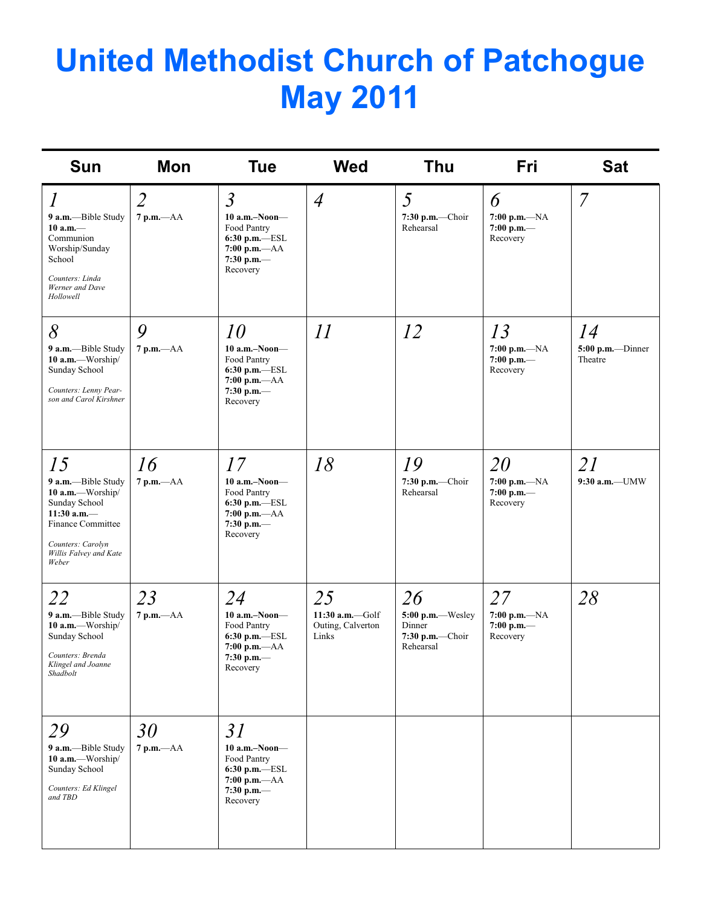# **United Methodist Church of Patchogue May 2011**

| <b>Sun</b>                                                                                                                                                          | Mon                            | <b>Tue</b>                                                                                                     | <b>Wed</b>                                              | Thu                                                                | Fri                                              | <b>Sat</b>                           |
|---------------------------------------------------------------------------------------------------------------------------------------------------------------------|--------------------------------|----------------------------------------------------------------------------------------------------------------|---------------------------------------------------------|--------------------------------------------------------------------|--------------------------------------------------|--------------------------------------|
| $\overline{l}$<br>9 a.m.-Bible Study<br>$10 a.m.$ —<br>Communion<br>Worship/Sunday<br>School<br>Counters: Linda<br>Werner and Dave<br>Hollowell                     | $\overline{2}$<br>$7 p.m. -AA$ | $\mathfrak{Z}$<br>$10$ a.m.-Noon-<br>Food Pantry<br>6:30 p.m.-ESL<br>$7:00 p.m. -AA$<br>7:30 p.m.-<br>Recovery | $\overline{4}$                                          | 5<br>7:30 p.m.-Choir<br>Rehearsal                                  | 6<br>$7:00 p.m. -NA$<br>$7:00$ p.m.-<br>Recovery | $\overline{7}$                       |
| 8<br>9 a.m.-Bible Study<br>10 a.m.-Worship/<br>Sunday School<br>Counters: Lenny Pear-<br>son and Carol Kirshner                                                     | 9<br>$7$ p.m. $-AA$            | 10<br>$10$ a.m.-Noon-<br>Food Pantry<br>$6:30$ p.m.— $ESL$<br>$7:00 p.m. -AA$<br>7:30 p.m. $-$<br>Recovery     | 11                                                      | 12                                                                 | 13<br>$7:00 p.m. -NA$<br>7:00 p.m.-<br>Recovery  | 14<br>$5:00$ p.m.--Dinner<br>Theatre |
| 15<br>9 a.m.-Bible Study<br>10 a.m.-Worship/<br>Sunday School<br>11:30 a.m. $-$<br><b>Finance Committee</b><br>Counters: Carolyn<br>Willis Falvey and Kate<br>Weber | 16<br>$7 p.m. -AA$             | 17<br>$10$ a.m.–Noon–<br>Food Pantry<br>6:30 p.m.-ESL<br>$7:00 p.m. -AA$<br>7:30 p.m.-<br>Recovery             | 18                                                      | 19<br>$7:30$ p.m.-Choir<br>Rehearsal                               | 20<br>$7:00 p.m. -NA$<br>7:00 p.m.-<br>Recovery  | 21<br>$9:30$ a.m.-UMW                |
| 22<br>9 a.m.-Bible Study<br>10 a.m.-Worship/<br>Sunday School<br>Counters: Brenda<br>Klingel and Joanne<br>Shadbolt                                                 | 23<br>$7 p.m. -AA$             | 24<br>$10$ a.m.-Noon-<br>Food Pantry<br>6:30 p.m.-ESL<br>7:00 p.m. $-AA$<br>7:30 p.m. $-$<br>Recovery          | 25<br>11:30 $a.m. -$ Golf<br>Outing, Calverton<br>Links | 26<br>5:00 p.m.-Wesley<br>Dinner<br>$7:30$ p.m.-Choir<br>Rehearsal | 27<br>7:00 p.m.-NA<br>7:00 p.m. $-$<br>Recovery  | 28                                   |
| 29<br>9 a.m.-Bible Study<br>10 a.m.-Worship/<br>Sunday School<br>Counters: Ed Klingel<br>and TBD                                                                    | 30<br>$7 p.m. -AA$             | 31<br>$10$ a.m.-Noon-<br>Food Pantry<br>6:30 p.m.—ESL<br>$7:00$ p.m.— $AA$<br>7:30 p.m. $-$<br>Recovery        |                                                         |                                                                    |                                                  |                                      |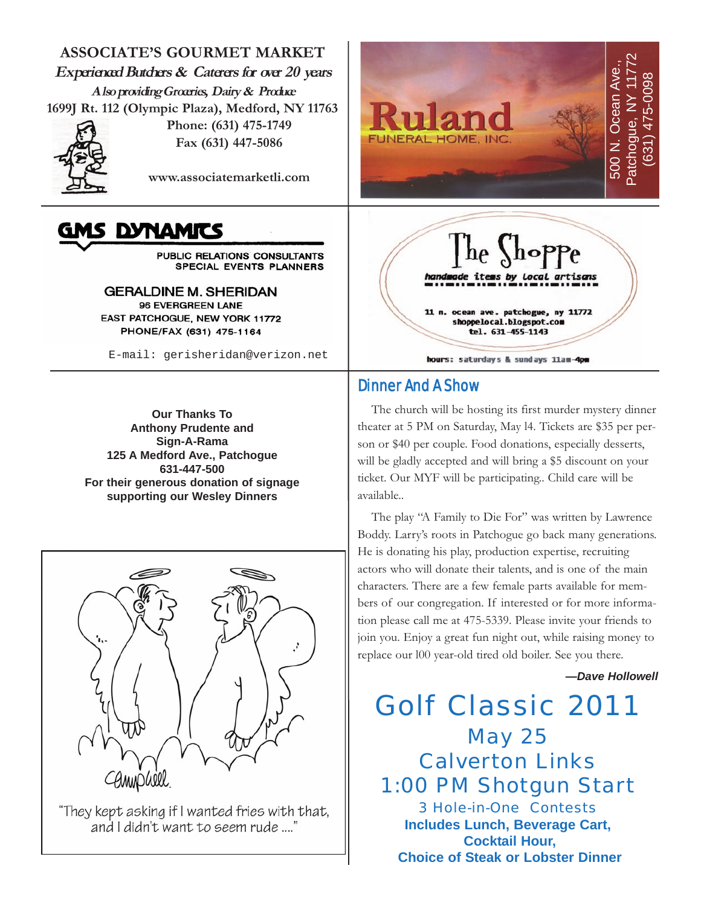**ASSOCIATE'S GOURMET MARKET Experienced Butchers & Caterers for over 20 years Also providing Groceries, Dairy & Produce 1699J Rt. 112 (Olympic Plaza), Medford, NY 11763 Phone: (631) 475-1749**



**Fax (631) 447-5086**

**www.associatemarketli.com**

# **IS DYNAMITS**

PUBLIC RELATIONS CONSULTANTS SPECIAL EVENTS PLANNERS

**GERALDINE M. SHERIDAN** 96 EVERGREEN LANE EAST PATCHOGUE, NEW YORK 11772 PHONE/FAX (631) 475-1164

E-mail: gerisheridan@verizon.net

**Our Thanks To Anthony Prudente and Sign-A-Rama 125 A Medford Ave., Patchogue 631-447-500 For their generous donation of signage supporting our Wesley Dinners**



"They kept asking if I wanted fries with that, and I didn't want to seem rude ...."





# Dinner And A Show

The church will be hosting its first murder mystery dinner theater at 5 PM on Saturday, May l4. Tickets are \$35 per person or \$40 per couple. Food donations, especially desserts, will be gladly accepted and will bring a \$5 discount on your ticket. Our MYF will be participating.. Child care will be available..

The play "A Family to Die For" was written by Lawrence Boddy. Larry's roots in Patchogue go back many generations. He is donating his play, production expertise, recruiting actors who will donate their talents, and is one of the main characters. There are a few female parts available for members of our congregation. If interested or for more information please call me at 475-5339. Please invite your friends to join you. Enjoy a great fun night out, while raising money to replace our l00 year-old tired old boiler. See you there.

*—Dave Hollowell*

Golf Classic 2011 May 25 Calverton Links 1:00 PM Shotgun Start 3 Hole-in-One Contests **Includes Lunch, Beverage Cart, Cocktail Hour, Choice of Steak or Lobster Dinner**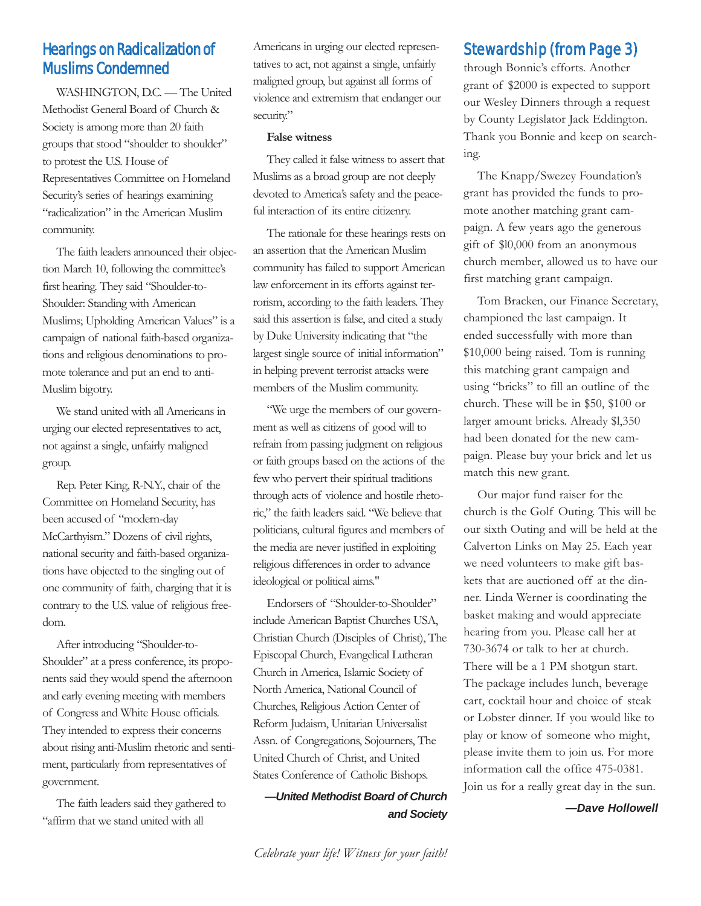# Hearings on Radicalization of Muslims Condemned

WASHINGTON, D.C. — The United Methodist General Board of Church & Society is among more than 20 faith groups that stood "shoulder to shoulder" to protest the U.S. House of Representatives Committee on Homeland Security's series of hearings examining "radicalization" in the American Muslim community.

The faith leaders announced their objection March 10, following the committee's first hearing. They said "Shoulder-to-Shoulder: Standing with American Muslims; Upholding American Values" is a campaign of national faith-based organizations and religious denominations to promote tolerance and put an end to anti-Muslim bigotry.

We stand united with all Americans in urging our elected representatives to act, not against a single, unfairly maligned group.

Rep. Peter King, R-N.Y., chair of the Committee on Homeland Security, has been accused of "modern-day McCarthyism." Dozens of civil rights, national security and faith-based organizations have objected to the singling out of one community of faith, charging that it is contrary to the U.S. value of religious freedom.

After introducing "Shoulder-to-Shoulder" at a press conference, its proponents said they would spend the afternoon and early evening meeting with members of Congress and White House officials. They intended to express their concerns about rising anti-Muslim rhetoric and sentiment, particularly from representatives of government.

The faith leaders said they gathered to "affirm that we stand united with all

Americans in urging our elected representatives to act, not against a single, unfairly maligned group, but against all forms of violence and extremism that endanger our security."

#### **False witness**

They called it false witness to assert that Muslims as a broad group are not deeply devoted to America's safety and the peaceful interaction of its entire citizenry.

The rationale for these hearings rests on an assertion that the American Muslim community has failed to support American law enforcement in its efforts against terrorism, according to the faith leaders. They said this assertion is false, and cited a study by Duke University indicating that "the largest single source of initial information" in helping prevent terrorist attacks were members of the Muslim community.

"We urge the members of our government as well as citizens of good will to refrain from passing judgment on religious or faith groups based on the actions of the few who pervert their spiritual traditions through acts of violence and hostile rhetoric," the faith leaders said. "We believe that politicians, cultural figures and members of the media are never justified in exploiting religious differences in order to advance ideological or political aims."

Endorsers of "Shoulder-to-Shoulder" include American Baptist Churches USA, Christian Church (Disciples of Christ), The Episcopal Church, Evangelical Lutheran Church in America, Islamic Society of North America, National Council of Churches, Religious Action Center of Reform Judaism, Unitarian Universalist Assn. of Congregations, Sojourners, The United Church of Christ, and United States Conference of Catholic Bishops.

*—United Methodist Board of Church and Society*

# Stewardship (from Page 3)

through Bonnie's efforts. Another grant of \$2000 is expected to support our Wesley Dinners through a request by County Legislator Jack Eddington. Thank you Bonnie and keep on searching.

The Knapp/Swezey Foundation's grant has provided the funds to promote another matching grant campaign. A few years ago the generous gift of \$l0,000 from an anonymous church member, allowed us to have our first matching grant campaign.

Tom Bracken, our Finance Secretary, championed the last campaign. It ended successfully with more than \$10,000 being raised. Tom is running this matching grant campaign and using "bricks" to fill an outline of the church. These will be in \$50, \$100 or larger amount bricks. Already \$l,350 had been donated for the new campaign. Please buy your brick and let us match this new grant.

Our major fund raiser for the church is the Golf Outing. This will be our sixth Outing and will be held at the Calverton Links on May 25. Each year we need volunteers to make gift baskets that are auctioned off at the dinner. Linda Werner is coordinating the basket making and would appreciate hearing from you. Please call her at 730-3674 or talk to her at church. There will be a 1 PM shotgun start. The package includes lunch, beverage cart, cocktail hour and choice of steak or Lobster dinner. If you would like to play or know of someone who might, please invite them to join us. For more information call the office 475-0381. Join us for a really great day in the sun.

*—Dave Hollowell*